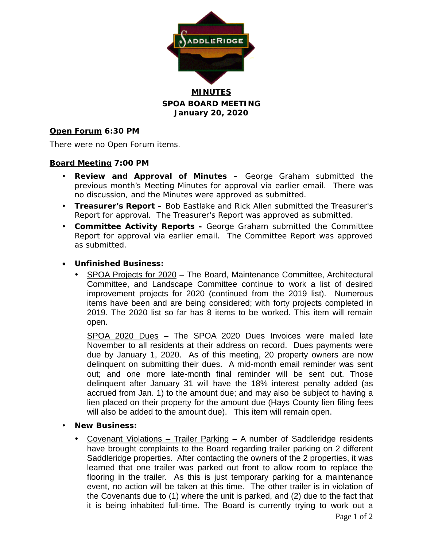

**MINUTES SPOA BOARD MEETING January 20, 2020**

#### **Open Forum 6:30 PM**

There were no Open Forum items.

#### **Board Meeting 7:00 PM**

- **Review and Approval of Minutes –** George Graham submitted the previous month's Meeting Minutes for approval via earlier email. There was no discussion, and the Minutes were approved as submitted.
- **Treasurer's Report –** Bob Eastlake and Rick Allen submitted the Treasurer's Report for approval. The Treasurer's Report was approved as submitted.
- **Committee Activity Reports -** George Graham submitted the Committee Report for approval via earlier email. The Committee Report was approved as submitted.
- **Unfinished Business:**
	- SPOA Projects for 2020 The Board, Maintenance Committee, Architectural Committee, and Landscape Committee continue to work a list of desired improvement projects for 2020 (continued from the 2019 list). Numerous items have been and are being considered; with forty projects completed in 2019. The 2020 list so far has 8 items to be worked. This item will remain open.

SPOA 2020 Dues – The SPOA 2020 Dues Invoices were mailed late November to all residents at their address on record. Dues payments were due by January 1, 2020. As of this meeting, 20 property owners are now delinquent on submitting their dues. A mid-month email reminder was sent out; and one more late-month final reminder will be sent out. Those delinquent after January 31 will have the 18% interest penalty added (as accrued from Jan. 1) to the amount due; and may also be subject to having a lien placed on their property for the amount due (Hays County lien filing fees will also be added to the amount due). This item will remain open.

- **New Business:**
	- Covenant Violations Trailer Parking A number of Saddleridge residents have brought complaints to the Board regarding trailer parking on 2 different Saddleridge properties. After contacting the owners of the 2 properties, it was learned that one trailer was parked out front to allow room to replace the flooring in the trailer. As this is just temporary parking for a maintenance event, no action will be taken at this time. The other trailer is in violation of the Covenants due to (1) where the unit is parked, and (2) due to the fact that it is being inhabited full-time. The Board is currently trying to work out a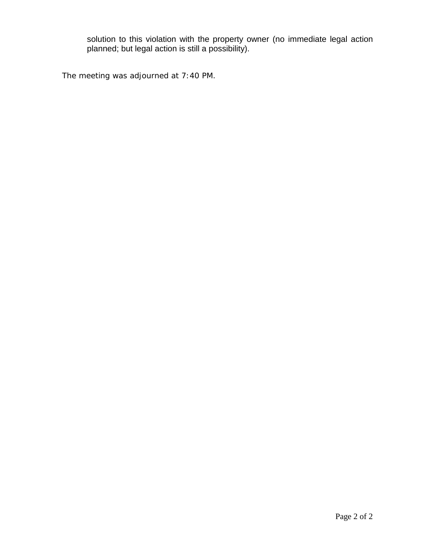solution to this violation with the property owner (no immediate legal action planned; but legal action is still a possibility).

The meeting was adjourned at 7:40 PM.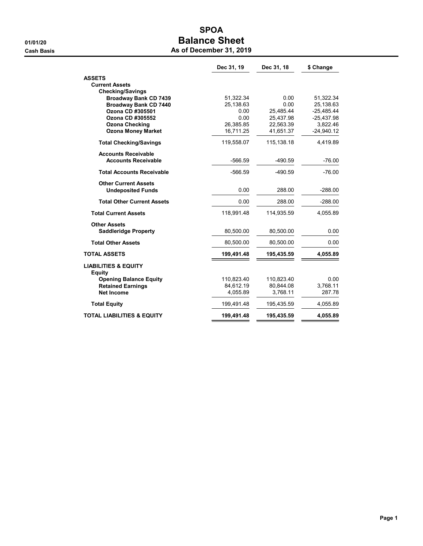# SPOA 01/01/20 **Balance Sheet Cash Basis** Cash Basis **As of December 31, 2019**

|                                                              | Dec 31, 19             | Dec 31, 18 | \$ Change              |
|--------------------------------------------------------------|------------------------|------------|------------------------|
| <b>ASSETS</b>                                                |                        |            |                        |
| <b>Current Assets</b>                                        |                        |            |                        |
| <b>Checking/Savings</b>                                      |                        | 0.00       |                        |
| <b>Broadway Bank CD 7439</b><br><b>Broadway Bank CD 7440</b> | 51,322.34<br>25,138.63 | 0.00       | 51,322.34<br>25,138.63 |
| Ozona CD #305501                                             | 0.00                   | 25.485.44  | $-25.485.44$           |
| Ozona CD #305552                                             | 0.00                   | 25,437.98  | $-25,437.98$           |
| <b>Ozona Checking</b>                                        | 26,385.85              | 22,563.39  | 3,822.46               |
| <b>Ozona Money Market</b>                                    | 16,711.25              | 41,651.37  | $-24,940.12$           |
| <b>Total Checking/Savings</b>                                | 119,558.07             | 115,138.18 | 4,419.89               |
| <b>Accounts Receivable</b>                                   |                        |            |                        |
| <b>Accounts Receivable</b>                                   | $-566.59$              | $-490.59$  | $-76.00$               |
| <b>Total Accounts Receivable</b>                             | $-566.59$              | $-490.59$  | $-76.00$               |
| <b>Other Current Assets</b>                                  |                        |            |                        |
| <b>Undeposited Funds</b>                                     | 0.00                   | 288.00     | $-288.00$              |
| <b>Total Other Current Assets</b>                            | 0.00                   | 288.00     | $-288.00$              |
| <b>Total Current Assets</b>                                  | 118,991.48             | 114,935.59 | 4,055.89               |
| <b>Other Assets</b>                                          |                        |            |                        |
| <b>Saddleridge Property</b>                                  | 80,500.00              | 80,500.00  | 0.00                   |
| <b>Total Other Assets</b>                                    | 80,500.00              | 80,500.00  | 0.00                   |
| <b>TOTAL ASSETS</b>                                          | 199,491.48             | 195,435.59 | 4,055.89               |
| <b>LIABILITIES &amp; EQUITY</b><br><b>Equity</b>             |                        |            |                        |
| <b>Opening Balance Equity</b>                                | 110,823.40             | 110,823.40 | 0.00                   |
| <b>Retained Earnings</b>                                     | 84,612.19              | 80,844.08  | 3,768.11               |
| <b>Net Income</b>                                            | 4.055.89               | 3.768.11   | 287.78                 |
| <b>Total Equity</b>                                          | 199,491.48             | 195,435.59 | 4,055.89               |
| <b>TOTAL LIABILITIES &amp; EQUITY</b>                        | 199,491.48             | 195,435.59 | 4,055.89               |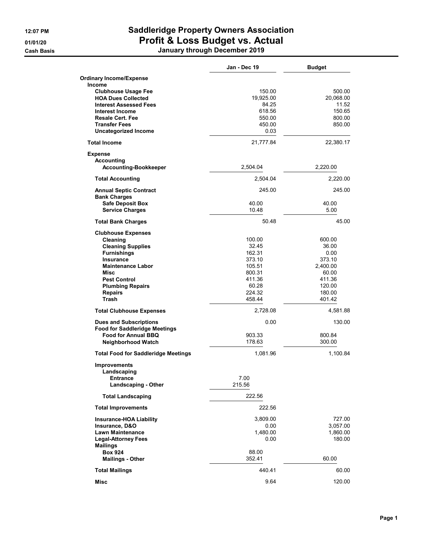# 12:07 PM Saddleridge Property Owners Association 01/01/20 **Profit & Loss Budget vs. Actual**

Cash Basis January through December 2019

|                                                   | Jan - Dec 19    | <b>Budget</b>    |
|---------------------------------------------------|-----------------|------------------|
| <b>Ordinary Income/Expense</b>                    |                 |                  |
| <b>Income</b>                                     |                 |                  |
| <b>Clubhouse Usage Fee</b>                        | 150.00          | 500.00           |
| <b>HOA Dues Collected</b>                         | 19,925.00       | 20,068.00        |
| <b>Interest Assessed Fees</b>                     | 84.25           | 11.52            |
| <b>Interest Income</b>                            | 618.56          | 150.65           |
| <b>Resale Cert. Fee</b>                           | 550.00          | 800.00           |
| <b>Transfer Fees</b>                              | 450.00          | 850.00           |
| <b>Uncategorized Income</b>                       | 0.03            |                  |
| <b>Total Income</b>                               | 21,777.84       | 22,380.17        |
| <b>Expense</b>                                    |                 |                  |
| <b>Accounting</b>                                 |                 |                  |
| <b>Accounting-Bookkeeper</b>                      | 2,504.04        | 2,220.00         |
| <b>Total Accounting</b>                           | 2,504.04        | 2,220.00         |
| <b>Annual Septic Contract</b>                     | 245.00          | 245.00           |
| <b>Bank Charges</b>                               |                 |                  |
| <b>Safe Deposit Box</b><br><b>Service Charges</b> | 40.00<br>10.48  | 40.00<br>5.00    |
|                                                   |                 |                  |
| <b>Total Bank Charges</b>                         | 50.48           | 45.00            |
| <b>Clubhouse Expenses</b>                         |                 |                  |
| Cleaning                                          | 100.00          | 600.00           |
| <b>Cleaning Supplies</b>                          | 32.45           | 36.00            |
| <b>Furnishings</b>                                | 162.31          | 0.00             |
| <b>Insurance</b>                                  | 373.10          | 373.10           |
| <b>Maintenance Labor</b>                          | 105.51          | 2,400.00         |
| Misc                                              | 800.31          | 60.00            |
| <b>Pest Control</b>                               | 411.36<br>60.28 | 411.36<br>120.00 |
| <b>Plumbing Repairs</b><br><b>Repairs</b>         | 224.32          | 180.00           |
| Trash                                             | 458.44          | 401.42           |
| <b>Total Clubhouse Expenses</b>                   | 2,728.08        | 4,581.88         |
| <b>Dues and Subscriptions</b>                     | 0.00            | 130.00           |
| <b>Food for Saddleridge Meetings</b>              |                 |                  |
| <b>Food for Annual BBQ</b>                        | 903.33          | 800.84           |
| <b>Neighborhood Watch</b>                         | 178.63          | 300.00           |
| <b>Total Food for Saddleridge Meetings</b>        | 1,081.96        | 1,100.84         |
| <b>Improvements</b>                               |                 |                  |
| Landscaping                                       |                 |                  |
| <b>Entrance</b>                                   | 7.00            |                  |
| <b>Landscaping - Other</b>                        | 215.56          |                  |
| <b>Total Landscaping</b>                          | 222.56          |                  |
| <b>Total Improvements</b>                         | 222.56          |                  |
| <b>Insurance-HOA Liability</b>                    | 3,809.00        | 727.00           |
| Insurance, D&O                                    | 0.00            | 3,057.00         |
| <b>Lawn Maintenance</b>                           | 1,480.00        | 1,860.00         |
| <b>Legal-Attorney Fees</b>                        | 0.00            | 180.00           |
| <b>Mailings</b>                                   |                 |                  |
| <b>Box 924</b>                                    | 88.00           |                  |
| <b>Mailings - Other</b>                           | 352.41          | 60.00            |
| <b>Total Mailings</b>                             | 440.41          | 60.00            |
| Misc                                              | 9.64            | 120.00           |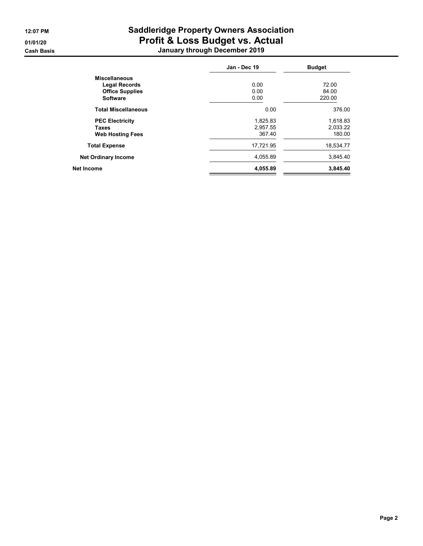# 12:07 PM Saddleridge Property Owners Association 01/01/20 **Profit & Loss Budget vs. Actual** Cash Basis January through December 2019

| Jan - Dec 19 | <b>Budget</b> |
|--------------|---------------|
|              |               |
| 0.00         | 72.00         |
| 0.00         | 84.00         |
| 0.00         | 220.00        |
| 0.00         | 376.00        |
| 1,825.83     | 1,618.83      |
| 2,957.55     | 2,033.22      |
| 367.40       | 180.00        |
| 17,721.95    | 18,534.77     |
| 4,055.89     | 3,845.40      |
| 4,055.89     | 3,845.40      |
|              |               |